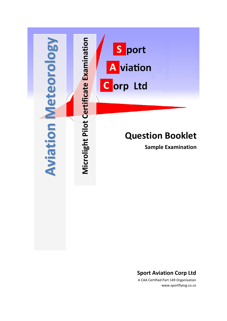

### **Sport Aviation Corp Ltd**

A CAA Certified Part 149 Organisation www.sportflying.co.nz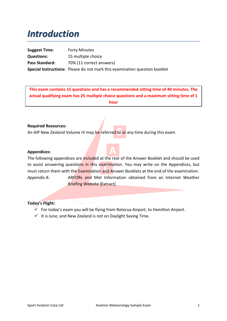# *Introduction*

**Suggest Time:** Forty Minutes **Questions:** 15 multiple choice Pass Standard: 70% (11 correct answers) **Special Instructions:** Please do not mark this examination question booklet

**This exam contains 15 questions and has a recommended sitting time of 40 minutes. The actual qualifying exam has 25 multiple choice questions and a maximum sitting time of 1 hour**

### **Required Resources:**

An AIP New Zealand Volume IV may be referred to at any time during this exam.

### **Appendices:**

The following appendices are included at the rear of the Answer Booklet and should be used to assist answering questions in this examination. You may write on the Appendices, but must return them with the Examination and Answer Booklets at the end of the examination. *Appendix A*: ARFORs and Met Information obtained from an Internet Weather Briefing Website [Extract]

### **Today's Flight:**

- $\checkmark$  For today's exam you will be flying from Rotorua Airport, to Hamilton Airport.
- $\checkmark$  It is June, and New Zealand is not on Daylight Saving Time.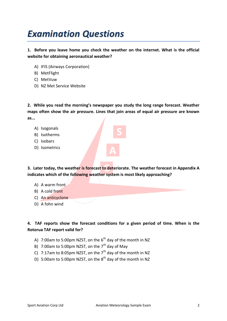# *Examination Questions*

**1. Before you leave home you check the weather on the internet. What is the official website for obtaining aeronautical weather?**

- A) IFIS (Airways Corporation)
- B) MetFlight
- C) MetVuw
- D) NZ Met Service Website

**2. While you read the morning's newspaper you study the long range forecast. Weather maps often show the air pressure. Lines that join areas of equal air pressure are known as...**

- A) Isogonals
- B) Isotherms
- C) Isobars
- D) Isometrics

**3. Later today, the weather is forecast to deteriorate. The weather forecast in Appendix A indicates which of the following weather system is most likely approaching?**

- A) A warm front
- B) A cold front
- C) An anticyclone
- D) A fohn wind

### **4. TAF reports show the forecast conditions for a given period of time. When is the Rotorua TAF report valid for?**

- A) 7:00am to 5:00pm NZST, on the  $6<sup>th</sup>$  day of the month in NZ
- B) 7:00am to 5:00pm NZST, on the  $7<sup>th</sup>$  day of May
- C) 7:17am to 8:05pm NZST, on the  $7<sup>th</sup>$  day of the month in NZ
- D) 5:00am to 5:00pm NZST, on the  $8<sup>th</sup>$  day of the month in NZ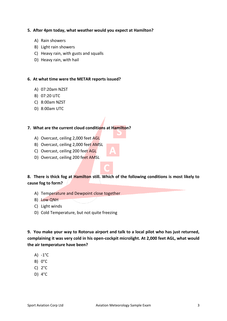### **5. After 4pm today, what weather would you expect at Hamilton?**

- A) Rain showers
- B) Light rain showers
- C) Heavy rain, with gusts and squalls
- D) Heavy rain, with hail

#### **6. At what time were the METAR reports issued?**

- A) 07:20am NZST
- B) 07:20 UTC
- C) 8:00am NZST
- D) 8:00am UTC

### **7. What are the current cloud conditions at Hamilton?**

- A) Overcast, ceiling 2,000 feet AGL
- B) Overcast, ceiling 2,000 feet AMSL
- C) Overcast, ceiling 200 feet AGL
- D) Overcast, ceiling 200 feet AMSL

### **8. There is thick fog at Hamilton still. Which of the following conditions is most likely to cause fog to form?**

- A) Temperature and Dewpoint close together
- B) Low QNH
- C) Light winds
- D) Cold Temperature, but not quite freezing

**9. You make your way to Rotorua airport and talk to a local pilot who has just returned, complaining it was very cold in his open-cockpit microlight. At 2,000 feet AGL, what would the air temperature have been?**

- A) -1°C
- B) 0°C
- C) 2°C
- D) 4°C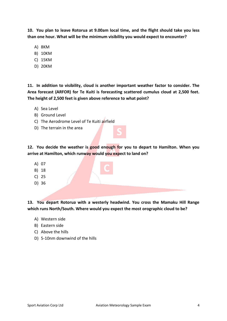**10. You plan to leave Rotorua at 9.00am local time, and the flight should take you less than one hour. What will be the minimum visibility you would expect to encounter?**

- A) 8KM
- B) 10KM
- C) 15KM
- D) 20KM

**11. In addition to visibility, cloud is another important weather factor to consider. The Area forecast (ARFOR) for Te Kuiti is forecasting scattered cumulus cloud at 2,500 feet. The height of 2,500 feet is given above reference to what point?**

- A) Sea Level
- B) Ground Level
- C) The Aerodrome Level of Te Kuiti airfield
- D) The terrain in the area

**12. You decide the weather is good enough for you to depart to Hamilton. When you arrive at Hamilton, which runway would you expect to land on?**

- A) 07
- B) 18
- C) 25
- D) 36

**13. You depart Rotorua with a westerly headwind. You cross the Mamaku Hill Range which runs North/South. Where would you expect the most orographic cloud to be?**

- A) Western side
- B) Eastern side
- C) Above the hills
- D) 5-10nm downwind of the hills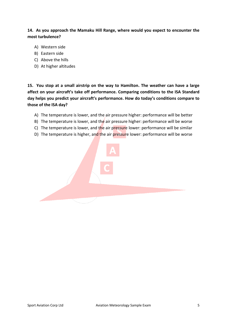**14. As you approach the Mamaku Hill Range, where would you expect to encounter the most turbulence?**

- A) Western side
- B) Eastern side
- C) Above the hills
- D) At higher altitudes

**15. You stop at a small airstrip on the way to Hamilton. The weather can have a large affect on your aircraft's take off performance. Comparing conditions to the ISA Standard day helps you predict your aircraft's performance. How do today's conditions compare to those of the ISA day?**

- A) The temperature is lower, and the air pressure higher: performance will be better
- B) The temperature is lower, and the air pressure higher: performance will be worse
- C) The temperature is lower, and the air pressure lower: performance will be similar
- D) The temperature is higher, and the air pressure lower: performance will be worse

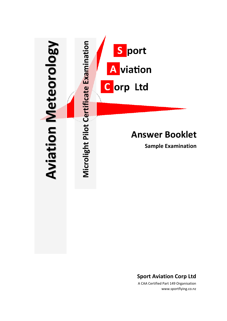

**Sport Aviation Corp Ltd**

A CAA Certified Part 149 Organisation www.sportflying.co.nz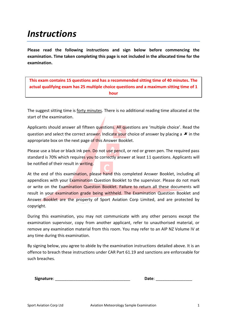# *Instructions*

**Please read the following instructions and sign below before commencing the examination. Time taken completing this page is not included in the allocated time for the examination.**

**This exam contains 15 questions and has a recommended sitting time of 40 minutes. The actual qualifying exam has 25 multiple choice questions and a maximum sitting time of 1 hour**

The suggest sitting time is forty minutes. There is no additional reading time allocated at the start of the examination.

Applicants should answer all fifteen questions. All questions are 'multiple choice'. Read the question and select the correct answer. Indicate your choice of answer by placing a  $\star$  in the appropriate box on the next page of this Answer Booklet.

Please use a blue or black ink pen. Do not use pencil, or red or green pen. The required pass standard is 70% which requires you to correctly answer at least 11 questions. Applicants will be notified of their result in writing.

At the end of this examination, please hand this completed Answer Booklet, including all appendices with your Examination Question Booklet to the supervisor. Please do not mark or write on the Examination Question Booklet. Failure to return all these documents will result in your examination grade being withheld. The Examination Question Booklet and Answer Booklet are the property of Sport Aviation Corp Limited, and are protected by copyright.

During this examination, you may not communicate with any other persons except the examination supervisor, copy from another applicant, refer to unauthorised material, or remove any examination material from this room. You may refer to an AIP NZ Volume IV at any time during this examination.

By signing below, you agree to abide by the examination instructions detailed above. It is an offence to breach these instructions under CAR Part 61.19 and sanctions are enforceable for such breaches.

| Signature: | Date: |  |
|------------|-------|--|
|            |       |  |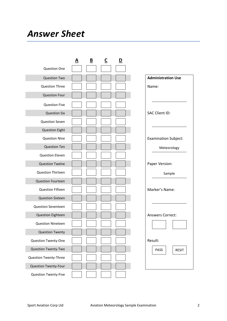# *Answer Sheet*

|                              | A | B | C | D |                             |
|------------------------------|---|---|---|---|-----------------------------|
| <b>Question One</b>          |   |   |   |   |                             |
| <b>Question Two</b>          |   |   |   |   | <b>Administration Use</b>   |
| <b>Question Three</b>        |   |   |   |   | Name:                       |
| <b>Question Four</b>         |   |   |   |   |                             |
| <b>Question Five</b>         |   |   |   |   |                             |
| <b>Question Six</b>          |   |   |   |   | <b>SAC Client ID:</b>       |
| <b>Question Seven</b>        |   |   |   |   |                             |
| <b>Question Eight</b>        |   |   |   |   |                             |
| <b>Question Nine</b>         |   |   |   |   | <b>Examination Subject:</b> |
| <b>Question Ten</b>          |   |   |   |   | Meteorology                 |
| <b>Question Eleven</b>       |   |   |   |   |                             |
| <b>Question Twelve</b>       |   |   |   |   | Paper Version:              |
| <b>Question Thirteen</b>     |   |   |   |   | Sample                      |
| <b>Question Fourteen</b>     |   |   |   |   |                             |
| <b>Question Fifteen</b>      |   |   |   |   | Marker's Name:              |
| <b>Question Sixteen</b>      |   |   |   |   |                             |
| <b>Question Seventeen</b>    |   |   |   |   |                             |
| <b>Question Eighteen</b>     |   |   |   |   | <b>Answers Correct:</b>     |
| <b>Question Nineteen</b>     |   |   |   |   |                             |
| <b>Question Twenty</b>       |   |   |   |   |                             |
| Question Twenty-One          |   |   |   |   | Result:                     |
| Question Twenty-Two          |   |   |   |   | PASS<br><b>RESIT</b>        |
| <b>Question Twenty-Three</b> |   |   |   |   |                             |
| Question Twenty-Four         |   |   |   |   |                             |
| Question Twenty-Five         |   |   |   |   |                             |